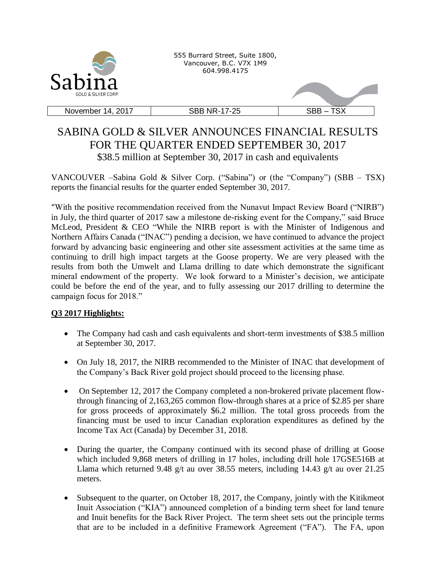

555 Burrard Street, Suite 1800, Vancouver, B.C. V7X 1M9 604.998.4175

November 14, 2017 | SBB NR-17-25 | SBB – TSX

# SABINA GOLD & SILVER ANNOUNCES FINANCIAL RESULTS FOR THE QUARTER ENDED SEPTEMBER 30, 2017 \$38.5 million at September 30, 2017 in cash and equivalents

VANCOUVER –Sabina Gold & Silver Corp. ("Sabina") or (the "Company") (SBB – TSX) reports the financial results for the quarter ended September 30, 2017.

"With the positive recommendation received from the Nunavut Impact Review Board ("NIRB") in July, the third quarter of 2017 saw a milestone de-risking event for the Company," said Bruce McLeod, President & CEO "While the NIRB report is with the Minister of Indigenous and Northern Affairs Canada ("INAC") pending a decision, we have continued to advance the project forward by advancing basic engineering and other site assessment activities at the same time as continuing to drill high impact targets at the Goose property. We are very pleased with the results from both the Umwelt and Llama drilling to date which demonstrate the significant mineral endowment of the property. We look forward to a Minister's decision, we anticipate could be before the end of the year, and to fully assessing our 2017 drilling to determine the campaign focus for 2018."

# **Q3 2017 Highlights:**

- The Company had cash and cash equivalents and short-term investments of \$38.5 million at September 30, 2017.
- On July 18, 2017, the NIRB recommended to the Minister of INAC that development of the Company's Back River gold project should proceed to the licensing phase.
- On September 12, 2017 the Company completed a non-brokered private placement flowthrough financing of 2,163,265 common flow-through shares at a price of \$2.85 per share for gross proceeds of approximately \$6.2 million. The total gross proceeds from the financing must be used to incur Canadian exploration expenditures as defined by the Income Tax Act (Canada) by December 31, 2018.
- During the quarter, the Company continued with its second phase of drilling at Goose which included 9,868 meters of drilling in 17 holes, including drill hole 17GSE516B at Llama which returned 9.48 g/t au over 38.55 meters, including 14.43 g/t au over 21.25 meters.
- Subsequent to the quarter, on October 18, 2017, the Company, jointly with the Kitikmeot Inuit Association ("KIA") announced completion of a binding term sheet for land tenure and Inuit benefits for the Back River Project. The term sheet sets out the principle terms that are to be included in a definitive Framework Agreement ("FA"). The FA, upon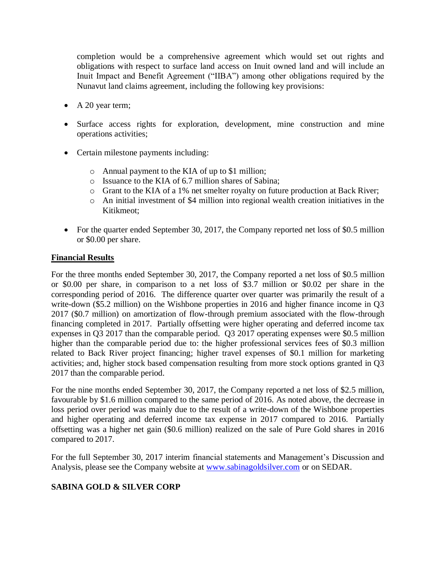completion would be a comprehensive agreement which would set out rights and obligations with respect to surface land access on Inuit owned land and will include an Inuit Impact and Benefit Agreement ("IIBA") among other obligations required by the Nunavut land claims agreement, including the following key provisions:

- A 20 year term;
- Surface access rights for exploration, development, mine construction and mine operations activities;
- Certain milestone payments including:
	- o Annual payment to the KIA of up to \$1 million;
	- o Issuance to the KIA of 6.7 million shares of Sabina;
	- o Grant to the KIA of a 1% net smelter royalty on future production at Back River;
	- o An initial investment of \$4 million into regional wealth creation initiatives in the Kitikmeot;
- For the quarter ended September 30, 2017, the Company reported net loss of \$0.5 million or \$0.00 per share.

### **Financial Results**

For the three months ended September 30, 2017, the Company reported a net loss of \$0.5 million or \$0.00 per share, in comparison to a net loss of \$3.7 million or \$0.02 per share in the corresponding period of 2016. The difference quarter over quarter was primarily the result of a write-down (\$5.2 million) on the Wishbone properties in 2016 and higher finance income in Q3 2017 (\$0.7 million) on amortization of flow-through premium associated with the flow-through financing completed in 2017. Partially offsetting were higher operating and deferred income tax expenses in Q3 2017 than the comparable period. Q3 2017 operating expenses were \$0.5 million higher than the comparable period due to: the higher professional services fees of \$0.3 million related to Back River project financing; higher travel expenses of \$0.1 million for marketing activities; and, higher stock based compensation resulting from more stock options granted in Q3 2017 than the comparable period.

For the nine months ended September 30, 2017, the Company reported a net loss of \$2.5 million, favourable by \$1.6 million compared to the same period of 2016. As noted above, the decrease in loss period over period was mainly due to the result of a write-down of the Wishbone properties and higher operating and deferred income tax expense in 2017 compared to 2016. Partially offsetting was a higher net gain (\$0.6 million) realized on the sale of Pure Gold shares in 2016 compared to 2017.

For the full September 30, 2017 interim financial statements and Management's Discussion and Analysis, please see the Company website at [www.sabinagoldsilver.com](http://www.sabinagoldsilver.com/) or on SEDAR.

# **SABINA GOLD & SILVER CORP**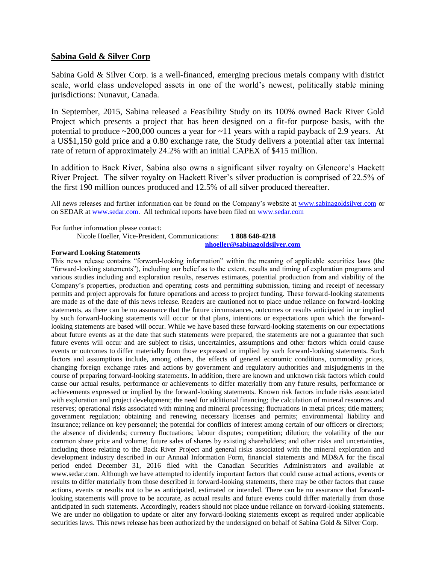#### **Sabina Gold & Silver Corp**

Sabina Gold & Silver Corp. is a well-financed, emerging precious metals company with district scale, world class undeveloped assets in one of the world's newest, politically stable mining jurisdictions: Nunavut, Canada.

In September, 2015, Sabina released a Feasibility Study on its 100% owned Back River Gold Project which presents a project that has been designed on a fit-for purpose basis, with the potential to produce ~200,000 ounces a year for ~11 years with a rapid payback of 2.9 years. At a US\$1,150 gold price and a 0.80 exchange rate, the Study delivers a potential after tax internal rate of return of approximately 24.2% with an initial CAPEX of \$415 million.

In addition to Back River, Sabina also owns a significant silver royalty on Glencore's Hackett River Project. The silver royalty on Hackett River's silver production is comprised of 22.5% of the first 190 million ounces produced and 12.5% of all silver produced thereafter.

All news releases and further information can be found on the Company's website at [www.sabinagoldsilver.com](http://www.sabinagoldsilver.com/) or on SEDAR a[t www.sedar.com.](http://www.sedar.com/) All technical reports have been filed on [www.sedar.com](http://www.sedar.com/)

For further information please contact:

Nicole Hoeller, Vice-President, Communications: **1 888 648-4218** 

**[nhoeller@sabinagoldsilver.com](mailto:nhoeller@sabinagoldsilver.com)**

#### **Forward Looking Statements**

This news release contains "forward-looking information" within the meaning of applicable securities laws (the "forward-looking statements"), including our belief as to the extent, results and timing of exploration programs and various studies including and exploration results, reserves estimates, potential production from and viability of the Company's properties, production and operating costs and permitting submission, timing and receipt of necessary permits and project approvals for future operations and access to project funding. These forward-looking statements are made as of the date of this news release. Readers are cautioned not to place undue reliance on forward-looking statements, as there can be no assurance that the future circumstances, outcomes or results anticipated in or implied by such forward-looking statements will occur or that plans, intentions or expectations upon which the forwardlooking statements are based will occur. While we have based these forward-looking statements on our expectations about future events as at the date that such statements were prepared, the statements are not a guarantee that such future events will occur and are subject to risks, uncertainties, assumptions and other factors which could cause events or outcomes to differ materially from those expressed or implied by such forward-looking statements. Such factors and assumptions include, among others, the effects of general economic conditions, commodity prices, changing foreign exchange rates and actions by government and regulatory authorities and misjudgments in the course of preparing forward-looking statements. In addition, there are known and unknown risk factors which could cause our actual results, performance or achievements to differ materially from any future results, performance or achievements expressed or implied by the forward-looking statements. Known risk factors include risks associated with exploration and project development; the need for additional financing; the calculation of mineral resources and reserves; operational risks associated with mining and mineral processing; fluctuations in metal prices; title matters; government regulation; obtaining and renewing necessary licenses and permits; environmental liability and insurance; reliance on key personnel; the potential for conflicts of interest among certain of our officers or directors; the absence of dividends; currency fluctuations; labour disputes; competition; dilution; the volatility of the our common share price and volume; future sales of shares by existing shareholders; and other risks and uncertainties, including those relating to the Back River Project and general risks associated with the mineral exploration and development industry described in our Annual Information Form, financial statements and MD&A for the fiscal period ended December 31, 2016 filed with the Canadian Securities Administrators and available at www.sedar.com. Although we have attempted to identify important factors that could cause actual actions, events or results to differ materially from those described in forward-looking statements, there may be other factors that cause actions, events or results not to be as anticipated, estimated or intended. There can be no assurance that forwardlooking statements will prove to be accurate, as actual results and future events could differ materially from those anticipated in such statements. Accordingly, readers should not place undue reliance on forward-looking statements. We are under no obligation to update or alter any forward-looking statements except as required under applicable securities laws. This news release has been authorized by the undersigned on behalf of Sabina Gold & Silver Corp.